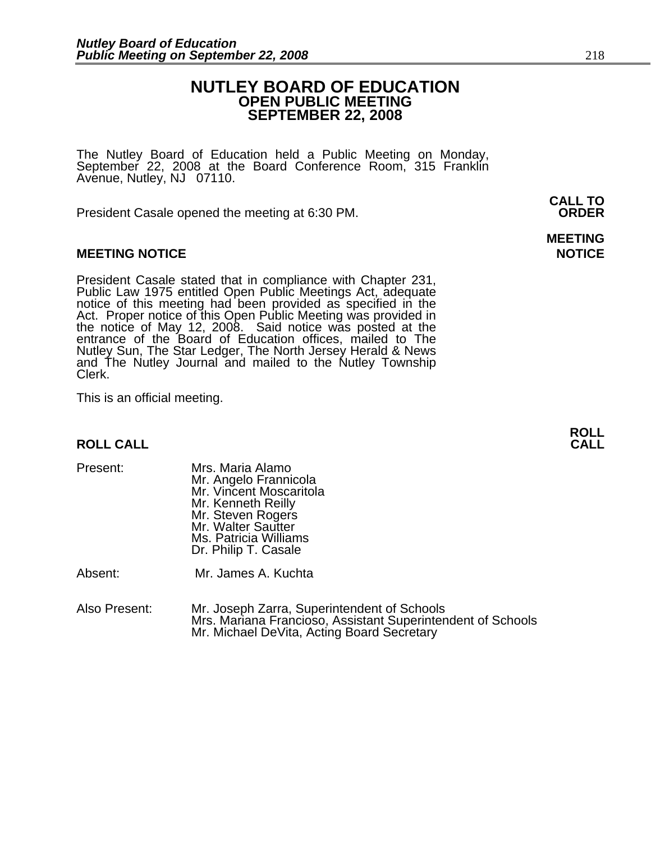## **NUTLEY BOARD OF EDUCATION OPEN PUBLIC MEETING SEPTEMBER 22, 2008**

The Nutley Board of Education held a Public Meeting on Monday, September 22, 2008 at the Board Conference Room, 315 Franklin Avenue, Nutley, NJ 07110.

 **CALL TO**  President Casale opened the meeting at 6:30 PM. **ORDER**

#### **MEETING NOTICE NOTICE AND RESERVE ASSESS**

President Casale stated that in compliance with Chapter 231,<br>Public Law 1975 entitled Open Public Meetings Act, adequate<br>notice of this meeting had been provided as specified in the<br>Act. Proper notice of this Open Public M the notice of May 12, 2008. Said notice was posted at the<br>entrance of the Board of Education offices, mailed to The Nutley Sun, The Star Ledger, The North Jersey Herald & News and The Nutley Journal and mailed to the Nutley Township Clerk.

This is an official meeting.

## **ROLL ROLL CALL CALL**

| Mrs. Maria Alamo        |
|-------------------------|
| Mr. Angelo Frannicola   |
| Mr. Vincent Moscaritola |
| Mr. Kenneth Reilly      |
| Mr. Steven Rogers       |
| Mr. Walter Sautter      |
| Ms. Patricia Williams   |
| Dr. Philip T. Casale    |
|                         |
|                         |

Absent: Mr. James A. Kuchta

Also Present: Mr. Joseph Zarra, Superintendent of Schools Mrs. Mariana Francioso, Assistant Superintendent of Schools Mr. Michael DeVita, Acting Board Secretary

**MEETING**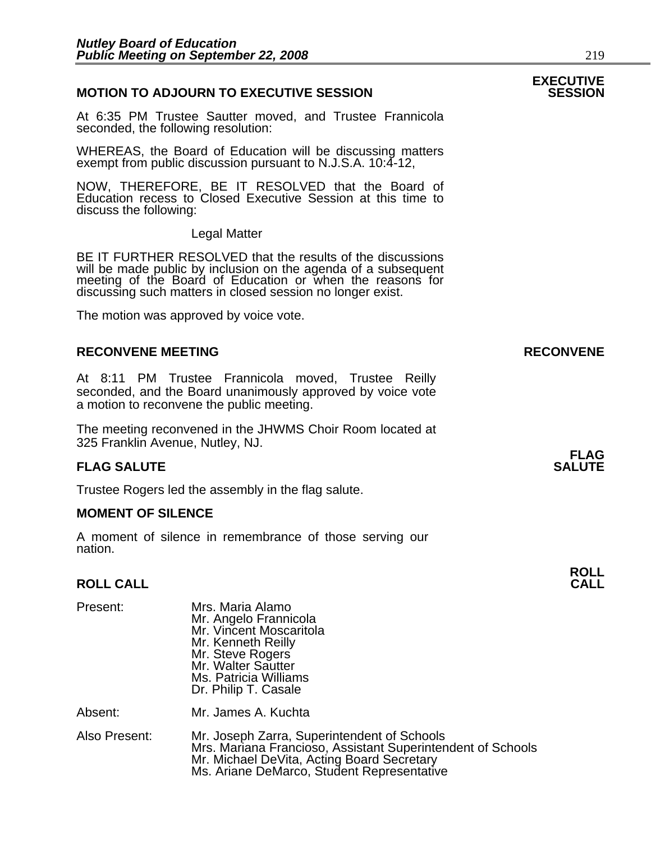#### **MOTION TO ADJOURN TO EXECUTIVE SESSION**

At 6:35 PM Trustee Sautter moved, and Trustee Frannicola seconded, the following resolution:

WHEREAS, the Board of Education will be discussing matters exempt from public discussion pursuant to N.J.S.A. 10:4-12,

NOW, THEREFORE, BE IT RESOLVED that the Board of Education recess to Closed Executive Session at this time to discuss the following:

Legal Matter

BE IT FURTHER RESOLVED that the results of the discussions will be made public by inclusion on the agenda of a subsequent meeting of the Board of Education or when the reasons for discussing such matters in closed session no longer exist.

The motion was approved by voice vote.

#### **RECONVENE MEETING RECONVENE**

At 8:11 PM Trustee Frannicola moved, Trustee Reilly seconded, and the Board unanimously approved by voice vote a motion to reconvene the public meeting.

The meeting reconvened in the JHWMS Choir Room located at 325 Franklin Avenue, Nutley, NJ.

#### **FLAG SALUTE** SALUTE SALUTE SALUTE SALUTE SALUTE

Trustee Rogers led the assembly in the flag salute.

#### **MOMENT OF SILENCE**

A moment of silence in remembrance of those serving our nation.

## **ROLL ROLL CALL CALL**

| Present:      | Mrs. Maria Alamo<br>Mr. Angelo Frannicola<br>Mr. Vincent Moscaritola<br>Mr. Kenneth Reilly<br>Mr. Steve Rogers<br>Mr. Walter Sautter<br>Ms. Patricia Williams<br>Dr. Philip T. Casale                  |
|---------------|--------------------------------------------------------------------------------------------------------------------------------------------------------------------------------------------------------|
| Absent:       | Mr. James A. Kuchta                                                                                                                                                                                    |
| Also Present: | Mr. Joseph Zarra, Superintendent of Schools<br>Mrs. Mariana Francioso, Assistant Superintendent of Schools<br>Mr. Michael DeVita, Acting Board Secretary<br>Ms. Ariane DeMarco, Student Representative |

# **EXECUTIVE**

**FLAG**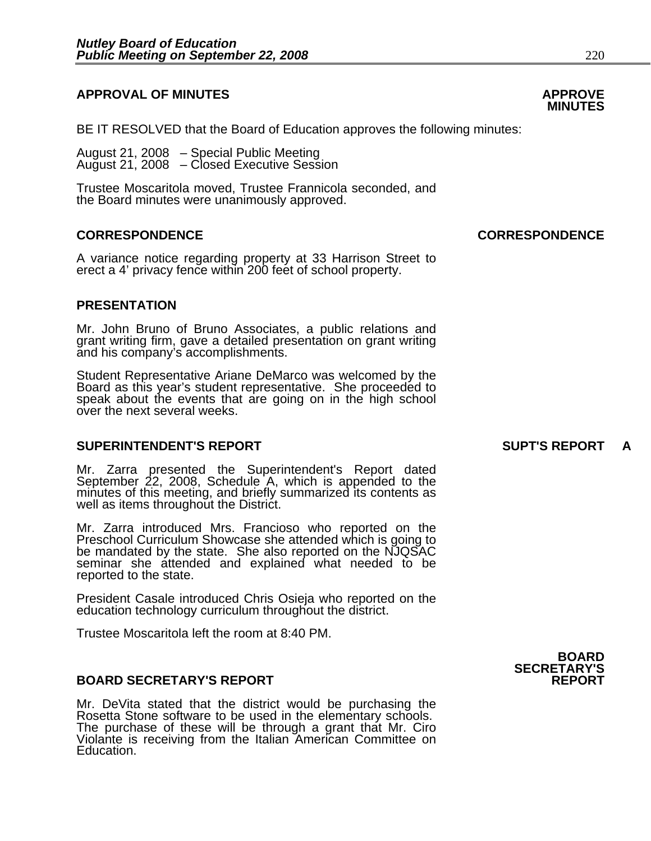#### **APPROVAL OF MINUTES APPROVE**

BE IT RESOLVED that the Board of Education approves the following minutes:

 August 21, 2008 – Special Public Meeting August 21, 2008 – Closed Executive Session

> Trustee Moscaritola moved, Trustee Frannicola seconded, and the Board minutes were unanimously approved.

#### **CORRESPONDENCE CORRESPONDENCE**

A variance notice regarding property at 33 Harrison Street to erect a 4' privacy fence within 200 feet of school property.

#### **PRESENTATION**

Mr. John Bruno of Bruno Associates, a public relations and grant writing firm, gave a detailed presentation on grant writing and his company's accomplishments.

Student Representative Ariane DeMarco was welcomed by the Board as this year's student representative. She proceeded to speak about the events that are going on in the high school over the next several weeks.

#### **SUPERINTENDENT'S REPORT SUPT'S REPORT A**

Mr. Zarra presented the Superintendent's Report dated<br>September 22, 2008, Schedule A, which is appended to the minutes of this meeting, and briefly summarized its contents as well as items throughout the District.

Mr. Zarra introduced Mrs. Francioso who reported on the Preschool Curriculum Showcase she attended which is going to be mandated by the state. She also reported on the NJQSAC seminar she attended and explained what needed to be reported to the state.

President Casale introduced Chris Osieja who reported on the education technology curriculum throughout the district.

Trustee Moscaritola left the room at 8:40 PM.

#### **BOARD SECRETARY'S REPORT**

Mr. DeVita stated that the district would be purchasing the Rosetta Stone software to be used in the elementary schools. The purchase of these will be through a grant that Mr. Ciro Violante is receiving from the Italian American Committee on Education.



## **MINUTES**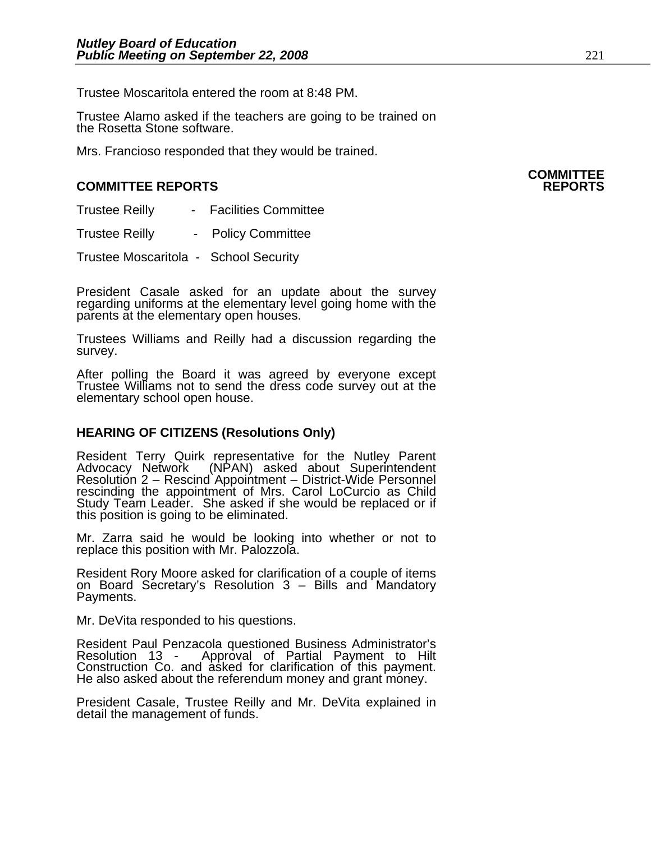Trustee Moscaritola entered the room at 8:48 PM.

Trustee Alamo asked if the teachers are going to be trained on the Rosetta Stone software.

Mrs. Francioso responded that they would be trained.

#### **COMMITTEE REPORTS REPORTS**

| <b>Trustee Reilly</b> | <b>Facilities Committee</b> |
|-----------------------|-----------------------------|
|-----------------------|-----------------------------|

Trustee Reilly - Policy Committee

Trustee Moscaritola - School Security

President Casale asked for an update about the survey regarding uniforms at the elementary level going home with the parents at the elementary open houses.

Trustees Williams and Reilly had a discussion regarding the survey.

After polling the Board it was agreed by everyone except Trustee Williams not to send the dress code survey out at the elementary school open house.

#### **HEARING OF CITIZENS (Resolutions Only)**

Resident Terry Quirk representative for the Nutley Parent Advocacy Network (NPAN) asked about Superintendent Resolution 2 – Rescind Appointment – District-Wide Personnel rescinding the appointment of Mrs. Carol LoCurcio as Child Study Team Leader. She asked if she would be replaced or if this position is going to be eliminated.

Mr. Zarra said he would be looking into whether or not to replace this position with Mr. Palozzola.

Resident Rory Moore asked for clarification of a couple of items on Board Secretary's Resolution 3 – Bills and Mandatory Payments.

Mr. DeVita responded to his questions.

Resident Paul Penzacola questioned Business Administrator's Resolution 13 - Approval of Partial Payment to Hilt Construction Co. and asked for clarification of this payment. He also asked about the referendum money and grant money.

President Casale, Trustee Reilly and Mr. DeVita explained in detail the management of funds.

## **COMMITTEE**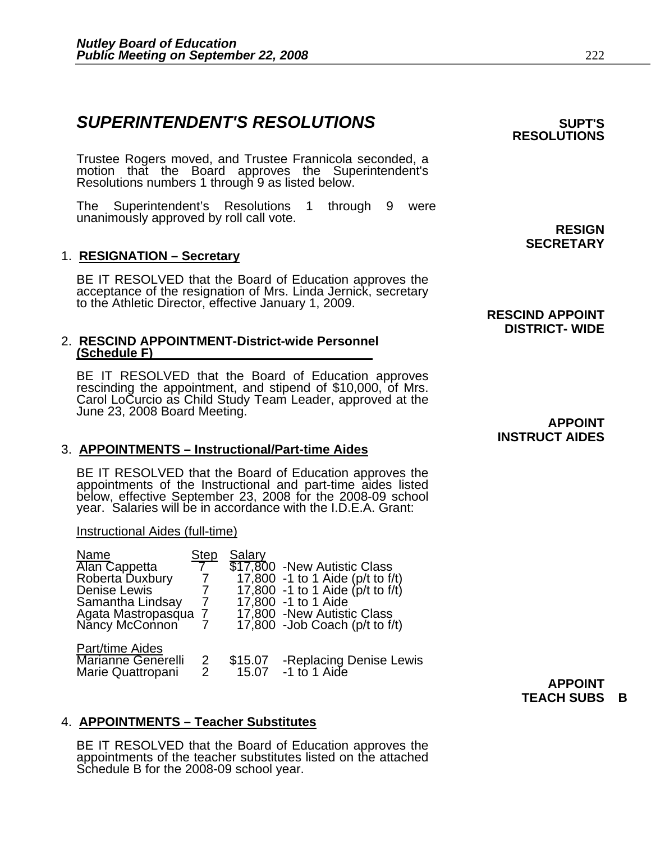## **SUPERINTENDENT'S RESOLUTIONS EXAMPLE ASSESSED ASSESSED ASSESSED ASSESSED ASSESSED ASSESSED ASSESSED ASSESSED ASSESSED ASSESSED ASSESSED ASSESSED ASSESSED ASSESSED ASSESSED ASSESSED ASSESSED ASSESSED ASSESSED ASSESSED AS**

Trustee Rogers moved, and Trustee Frannicola seconded, a motion that the Board approves the Superintendent's Resolutions numbers 1 through 9 as listed below.

The Superintendent's Resolutions 1 through 9 were unanimously approved by roll call vote.<br> **RESIGN** 

#### 1. **RESIGNATION – Secretary**

BE IT RESOLVED that the Board of Education approves the acceptance of the resignation of Mrs. Linda Jernick, secretary to the Athletic Director, effective January 1, 2009.

#### 2. **RESCIND APPOINTMENT-District-wide Personnel (Schedule F)**

BE IT RESOLVED that the Board of Education approves<br>rescinding the appointment, and stipend of \$10,000, of Mrs.<br>Carol LoCurcio as Child Study Team Leader, approved at the<br>June 23, 2008 Board Meeting. **APPOINT** 

#### 3. **APPOINTMENTS – Instructional/Part-time Aides**

BE IT RESOLVED that the Board of Education approves the appointments of the Instructional and part-time aides listed<br>below, effective September 23, 2008 for the 2008-09 school year. Salaries will be in accordance with the I.D.E.A. Grant:

#### Instructional Aides (full-time)

| Name                                                              | <b>Step</b>         | Salary           |                                                                      |
|-------------------------------------------------------------------|---------------------|------------------|----------------------------------------------------------------------|
| <b>Alan Cappetta</b>                                              |                     |                  | \$17,800 - New Autistic Class                                        |
| Roberta Duxbury                                                   |                     |                  | 17,800 -1 to 1 Aide (p/t to f/t)<br>17,800 -1 to 1 Aide (p/t to f/t) |
| <b>Denise Lewis</b>                                               |                     |                  |                                                                      |
| Samantha Lindsay                                                  | $\mathcal{I}$       |                  | 17,800 -1 to 1 Aide                                                  |
| Agata Mastropasqua<br>Nancy McConnon                              |                     |                  | 17,800 - New Autistic Class                                          |
|                                                                   |                     |                  | $17,800$ -Job Coach (p/t to f/t)                                     |
| Part/time Aides<br><b>Marianne Generelli</b><br>Marie Quattropani | $\overline{2}$<br>2 | \$15.07<br>15.07 | -Replacing Denise Lewis<br>-1 to 1 Aide                              |
|                                                                   |                     |                  |                                                                      |

## 4. **APPOINTMENTS – Teacher Substitutes**

BE IT RESOLVED that the Board of Education approves the appointments of the teacher substitutes listed on the attached Schedule B for the 2008-09 school year.

**SECRETARY** 

**RESOLUTIONS** 

#### **RESCIND APPOINT DISTRICT- WIDE**

# **INSTRUCT AIDES**

**APPOINT TEACH SUBS B**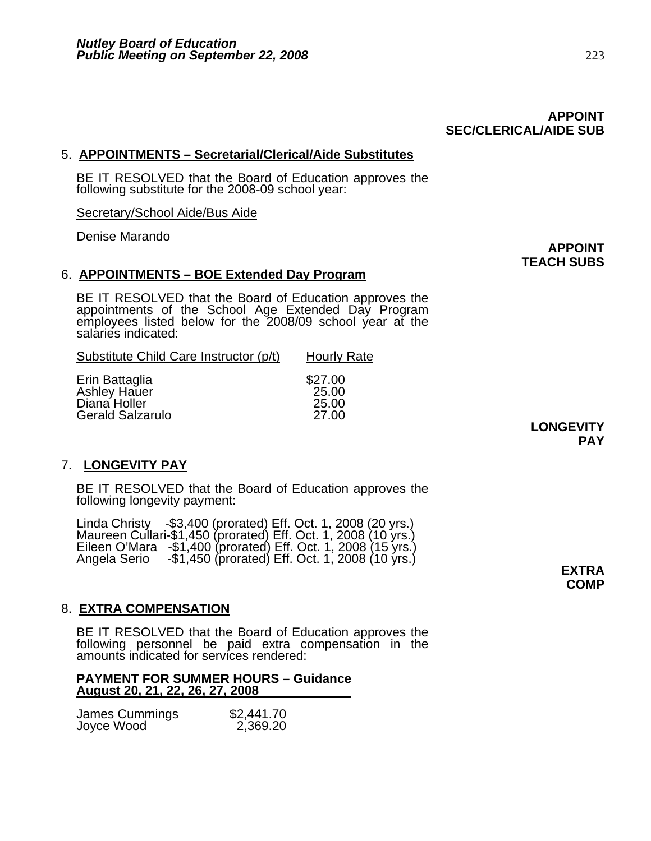## 5. **APPOINTMENTS – Secretarial/Clerical/Aide Substitutes**

BE IT RESOLVED that the Board of Education approves the following substitute for the 2008-09 school year:

Secretary/School Aide/Bus Aide

Denise Marando

#### 6. **APPOINTMENTS – BOE Extended Day Program**

BE IT RESOLVED that the Board of Education approves the appointments of the School Age Extended Day Program employees listed below for the 2008/09 school year at the salaries indicated:

| Substitute Child Care Instructor (p/t)                                    | <b>Hourly Rate</b>                 |
|---------------------------------------------------------------------------|------------------------------------|
| Erin Battaglia<br>Ashley Hauer<br>Diana Holler<br><b>Gerald Salzarulo</b> | \$27.00<br>25.00<br>25.00<br>27.00 |

#### 7. **LONGEVITY PAY**

BE IT RESOLVED that the Board of Education approves the following longevity payment:

Linda Christy -\$3,400 (prorated) Eff. Oct. 1, 2008 (20 yrs.)<br>Maureen Cullari-\$1,450 (prorated) Eff. Oct. 1, 2008 (10 yrs.)<br>Eileen O'Mara -\$1,400 (prorated) Eff. Oct. 1, 2008 (15 yrs.)<br>Angela Serio -\$1,450 (prorated) Eff. O

#### 8. **EXTRA COMPENSATION**

BE IT RESOLVED that the Board of Education approves the following personnel be paid extra compensation in the amounts indicated for services rendered:

#### **PAYMENT FOR SUMMER HOURS – Guidance August 20, 21, 22, 26, 27, 2008**

| James Cummings | \$2,441.70 |
|----------------|------------|
| Joyce Wood     | 2,369.20   |

#### **APPOINT SEC/CLERICAL/AIDE SUB**

**APPOINT TEACH SUBS** 

> **LONGEVITY PAY**

> > **COMP**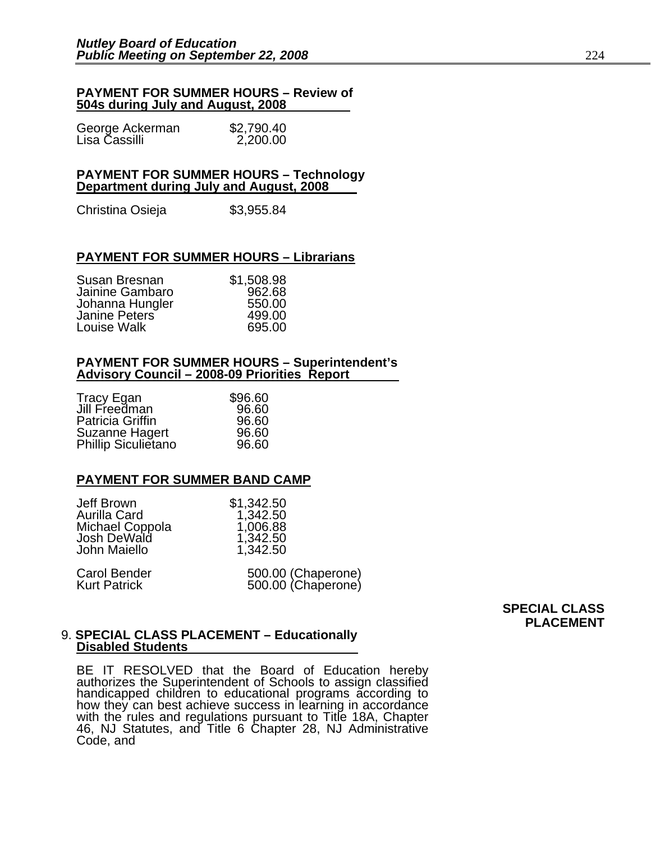#### **PAYMENT FOR SUMMER HOURS – Review of 504s during July and August, 2008**

| George Ackerman | \$2,790.40 |
|-----------------|------------|
| Lisa Čassilli   | 2,200.00   |

#### **PAYMENT FOR SUMMER HOURS – Technology Department during July and August, 2008**

Christina Osieja  $$3,955.84$ 

#### **PAYMENT FOR SUMMER HOURS – Librarians**

| Susan Bresnan   | \$1,508.98 |
|-----------------|------------|
| Jainine Gambaro | 962.68     |
| Johanna Hungler | 550.00     |
| Janine Peters   | 499.00     |
| Louise Walk     | 695.00     |

#### **PAYMENT FOR SUMMER HOURS – Superintendent's Advisory Council – 2008-09 Priorities Report**

| Tracy Egan            | \$96.60 |
|-----------------------|---------|
| Jill Freedman         | 96.60   |
| Patricia Griffin      | 96.60   |
| <b>Suzanne Hagert</b> | 96.60   |
| Phillip Siculietano   | 96.60   |

#### **PAYMENT FOR SUMMER BAND CAMP**

| Jeff Brown          | \$1,342.50         |
|---------------------|--------------------|
| Aurilla Card        | 1,342.50           |
| Michael Coppola     | 1,006.88           |
| Josh DeWald         | 1,342.50           |
| John Maiello        | 1,342.50           |
| <b>Carol Bender</b> | 500.00 (Chaperone) |

| Carol Bender | 500.00 (Chaperone) |
|--------------|--------------------|
| Kurt Patrick | 500.00 (Chaperone) |

**SPECIAL CLASS PLACEMENT** 

#### 9. **SPECIAL CLASS PLACEMENT – Educationally Disabled Students**

BE IT RESOLVED that the Board of Education hereby authorizes the Superintendent of Schools to assign classified handicapped children to educational programs according to how they can best achieve success in learning in accordance with the rules and regulations pursuant to Title 18A, Chapter 46, NJ Statutes, and Title 6 Chapter 28, NJ Administrative Code, and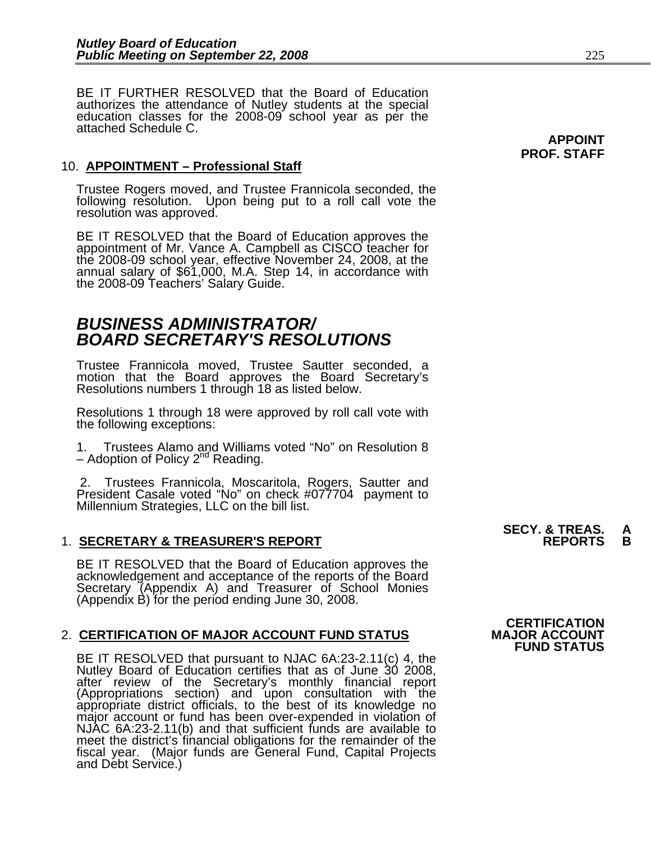BE IT FURTHER RESOLVED that the Board of Education authorizes the attendance of Nutley students at the special education classes for the 2008-09 school year as per the attached Schedule C.

#### 10. **APPOINTMENT – Professional Staff**

Trustee Rogers moved, and Trustee Frannicola seconded, the following resolution. Upon being put to a roll call vote the<br>resolution was approved.

BE IT RESOLVED that the Board of Education approves the appointment of Mr. Vance A. Campbell as CISCO teacher for the 2008-09 school year, effective November 24, 2008, at the annual salary of \$61,000, M.A. Step 14, in acco

## *BUSINESS ADMINISTRATOR/ BOARD SECRETARY'S RESOLUTIONS*

Trustee Frannicola moved, Trustee Sautter seconded, a motion that the Board approves the Board Secretary's Resolutions numbers 1 through 18 as listed below.

Resolutions 1 through 18 were approved by roll call vote with the following exceptions:

1. Trustees Alamo and Williams voted "No" on Resolution 8 – Adoption of Policy  $2^{nd}$  Reading.

 2. Trustees Frannicola, Moscaritola, Rogers, Sautter and President Casale voted "No" on check #077704 payment to **Millennium Strategies, LLC on the bill list.**<br>Millennium Strategies, LLC on the bill list. **SECY. & TREAS.** A

#### 1. **SECRETARY & TREASURER'S REPORT REPORTS B**

BE IT RESOLVED that the Board of Education approves the acknowledgement and acceptance of the reports of the Board Secretary (Appendix A) and Treasurer of School Monies (Appendix B) for the period ending June 30, 2008.

#### 2. **CERTIFICATION OF MAJOR ACCOUNT FUND STATUS**

BE IT RESOLVED that pursuant to NJAC 6A:23-2.11(c) 4, the Nutley Board of Education certifies that as of June 30 2008, after review of the Secretary's monthly financial report (Appropriations section) and upon consultation with the appropriate district officials, to the best of its knowledge no major account or fund has been over-expended in violation of NJAC 6A:23-2.11(b) and that sufficient fu meet the district's financial obligations for the remainder of the fiscal year. (Major funds are General Fund, Capital Projects and Debt Service.)

## **CERTIFICATION<br>MAJOR ACCOUNT FUND STATUS**

**APPOINT PROF. STAFF**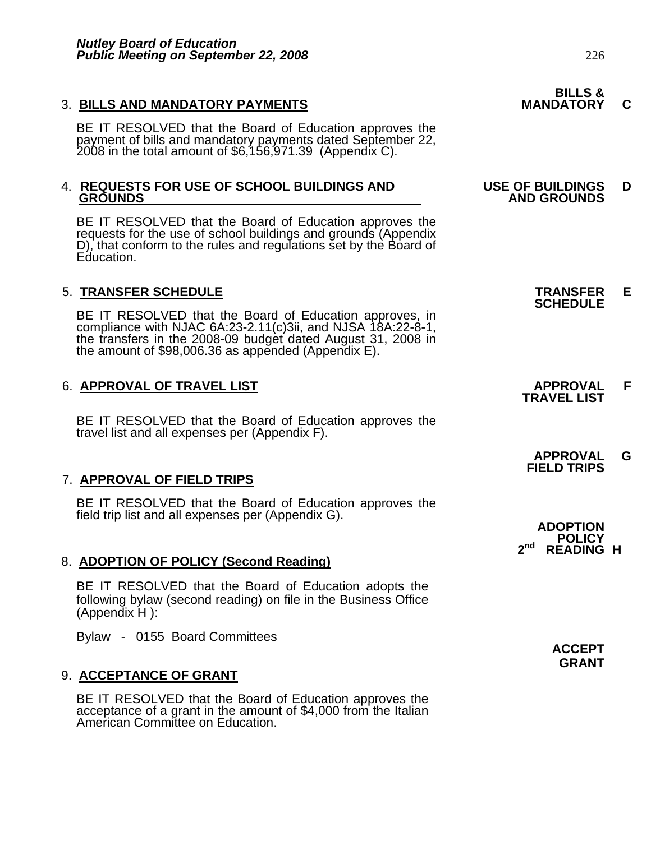#### 3. BILLS AND MANDATORY PAYMENTS **MANDATORY C**

BE IT RESOLVED that the Board of Education approves the payment of bills and mandatory payments dated September 22, 2008 in the total amount of \$6,156,971.39 (Appendix C).

# 4. **REQUESTS FOR USE OF SCHOOL BUILDINGS AND USE OF BUILDINGS D**

BE IT RESOLVED that the Board of Education approves the requests for the use of school buildings and grounds (Appendix D), that conform to the rules and regulations set by the Board of Education.

5. **TRANSFER SCHEDULE**<br>**BE IT RESOLVED that the Board of Education approves, in SCHEDULE**<br>**BE IT RESOLVED that the Board of Education approves, in** compliance with NJAC 6A:23-2.11(c)3ii, and NJSA 18A:22-8-1,<br>the transfers in the 2008-09 budget dated August 31, 2008 in<br>the amount of \$98,006.36 as appended (Appendix E).

## 6. **APPROVAL OF TRAVEL LIST APPROVAL F TRAVEL LIST**

BE IT RESOLVED that the Board of Education approves the travel list and all expenses per (Appendix F).

## 7. **APPROVAL OF FIELD TRIPS**

BE IT RESOLVED that the Board of Education approves the field trip list and all expenses per (Appendix G).

#### 8. **ADOPTION OF POLICY (Second Reading)**

BE IT RESOLVED that the Board of Education adopts the following bylaw (second reading) on file in the Business Office (Appendix H ):

Bylaw - 0155 Board Committees

#### 9. **ACCEPTANCE OF GRANT**

BE IT RESOLVED that the Board of Education approves the acceptance of a grant in the amount of \$4,000 from the Italian American Committee on Education.

# **BILLS & GROUNDS AND GROUNDS**

 **APPROVAL G FIELD TRIPS** 

**ADOPTION POLICY 2nd READING H**

> **ACCEPT GRANT**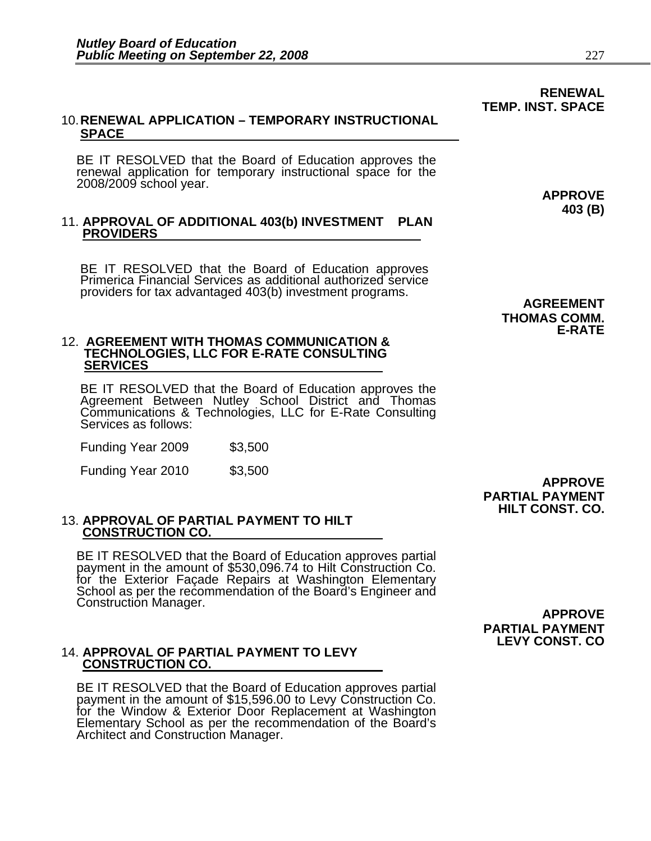#### 10. **RENEWAL APPLICATION – TEMPORARY INSTRUCTIONAL SPACE**

BE IT RESOLVED that the Board of Education approves the<br>renewal application for temporary instructional space for the<br>2008/2009 school year. **APPROVE** 

# 11. **APPROVAL OF ADDITIONAL 403(b) INVESTMENT PLAN PROVIDERS**

BE IT RESOLVED that the Board of Education approves Primerica Financial Services as additional authorized service providers for tax advantaged 403(b) investment programs. **AGREEMENT** 

#### 12. **AGREEMENT WITH THOMAS COMMUNICATION & TECHNOLOGIES, LLC FOR E-RATE CONSULTING SERVICES**

BE IT RESOLVED that the Board of Education approves the Agreement Between Nutley School District and Thomas Communications & Technologies, LLC for E-Rate Consulting Services as follows:

Funding Year 2009 \$3,500

Funding Year 2010 \$3,500 **APPROVE** 

**PARTIAL PAYMENT HILT CONST. CO.** 

**PARTIAL PAYMENT LEVY CONST. CO**

# 13. **APPROVAL OF PARTIAL PAYMENT TO HILT CONSTRUCTION CO.**

BE IT RESOLVED that the Board of Education approves partial payment in the amount of \$530,096.74 to Hilt Construction Co.<br>for the Exterior Facade Repairs at Washington Elementary for the External External School as per the Ecommendation of the Board's Engineer and Construction Manager.<br>Construction Manager. **APPROVE** 

# 14. **APPROVAL OF PARTIAL PAYMENT TO LEVY CONSTRUCTION CO.**

BE IT RESOLVED that the Board of Education approves partial payment in the amount of \$15,596.00 to Levy Construction Co. for the Window & Exterior Door Replacement at Washington<br>Elementary School as per the recommendation of the Board's Architect and Construction Manager.

**THOMAS COMM. E-RATE** 

**403 (B)** 

**RENEWAL** 

**TEMP. INST. SPACE**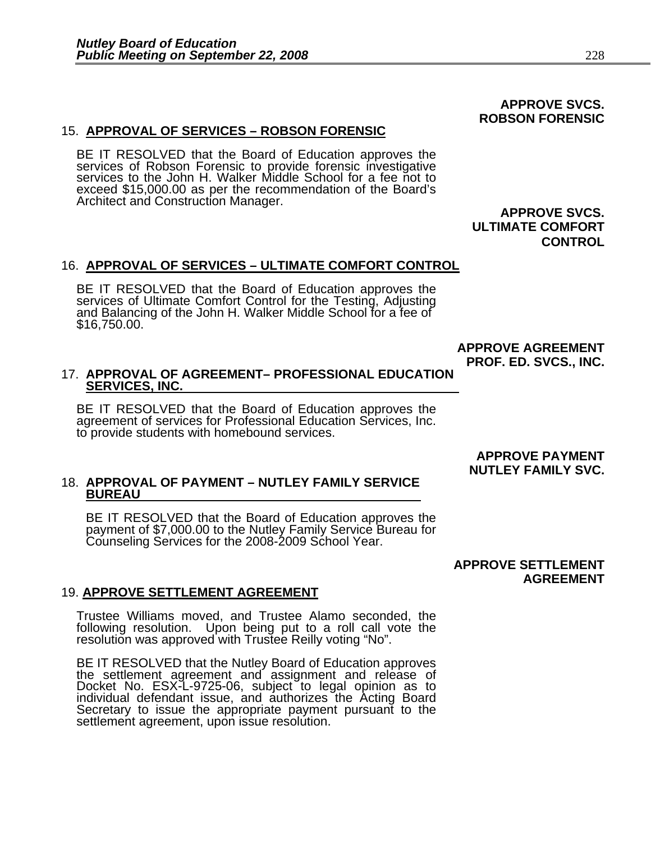#### 15. **APPROVAL OF SERVICES – ROBSON FORENSIC**

BE IT RESOLVED that the Board of Education approves the services of Robson Forensic to provide forensic investigative services to the John H. Walker Middle School for a fee not to exceed \$15,000.00 as per the recommendation of the Board's<br>Architect and Construction Manager.<br>**APPROVE SVCS.** 

 **ULTIMATE COMFORT CONTROL** 

#### 16. **APPROVAL OF SERVICES – ULTIMATE COMFORT CONTROL**

BE IT RESOLVED that the Board of Education approves the services of Ultimate Comfort Control for the Testing, Adjusting and Balancing of the John H. Walker Middle School for a fee of \$16,750.00.

> **APPROVE AGREEMENT PROF. ED. SVCS., INC.**

#### 17. **APPROVAL OF AGREEMENT– PROFESSIONAL EDUCATION SERVICES, INC.**

BE IT RESOLVED that the Board of Education approves the agreement of services for Professional Education Services, Inc. to provide students with homebound services.

#### 18. **APPROVAL OF PAYMENT – NUTLEY FAMILY SERVICE BUREAU**

BE IT RESOLVED that the Board of Education approves the<br>payment of \$7,000.00 to the Nutley Family Service Bureau for<br>Counseling Services for the 2008-2009 School Year.

 **APPROVE SETTLEMENT AGREEMENT** 

#### 19. **APPROVE SETTLEMENT AGREEMENT**

Trustee Williams moved, and Trustee Alamo seconded, the following resolution. Upon being put to a roll call vote the resolution was approved with Trustee Reilly voting "No".

BE IT RESOLVED that the Nutley Board of Education approves the settlement agreement and assignment and release of Docket No. ESX-L-9725-06, subject to legal opinion as to individual defendant issue, and authorizes the Acting Board Secretary to issue the appropriate payment pursuant to the settlement agreement, upon issue resolution.

 **APPROVE PAYMENT NUTLEY FAMILY SVC.** 

#### **APPROVE SVCS. ROBSON FORENSIC**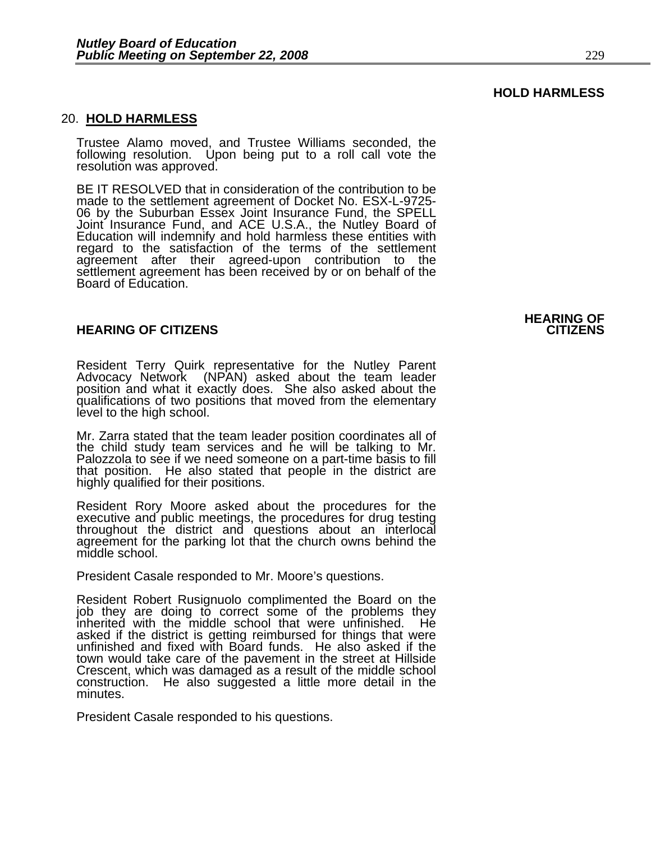#### 20. **HOLD HARMLESS**

Trustee Alamo moved, and Trustee Williams seconded, the following resolution. Upon being put to a roll call vote the resolution was approved.

BE IT RESOLVED that in consideration of the contribution to be made to the settlement agreement of Docket No. ESX-L-9725- 06 by the Suburban Essex Joint Insurance Fund, the SPELL Joint Insurance Fund, and ACE U.S.A., the Nutley Board of Education will indemnify and hold harmless these entities with regard to the satisfaction of the terms of the settlement agreement after their agreed-upon contribution to the settlement agreement has been received by or on behalf of the<br>Board of Education.

#### **HEARING OF CITIZENS CITIZENS**

Resident Terry Quirk representative for the Nutley Parent Advocacy Network (NPAN) asked about the team leader position and what it exactly does. She also asked about the qualifications of two positions that moved from the elementary level to the high school.

Mr. Zarra stated that the team leader position coordinates all of<br>the child study team services and he will be talking to Mr.<br>Palozzola to see if we need someone on a part-time basis to fill<br>that position. He also stated t

Resident Rory Moore asked about the procedures for the executive and public meetings, the procedures for drug testing throughout the district and questions about an interlocal agreement for the parking lot that the church owns behind the middle school.

President Casale responded to Mr. Moore's questions.

Resident Robert Rusignuolo complimented the Board on the job they are doing to correct some of the problems they inherited with the middle school that were unfinished. He asked if the district is getting reimbursed for things that were unfinished and fixed with Board funds. He also asked if the town would take care of the pavement in the street at Hillside Crescent, which was damaged as a result of the middle school construction. He also suggested a little more detail in the minutes.

President Casale responded to his questions.

# **HEARING OF**

**HOLD HARMLESS**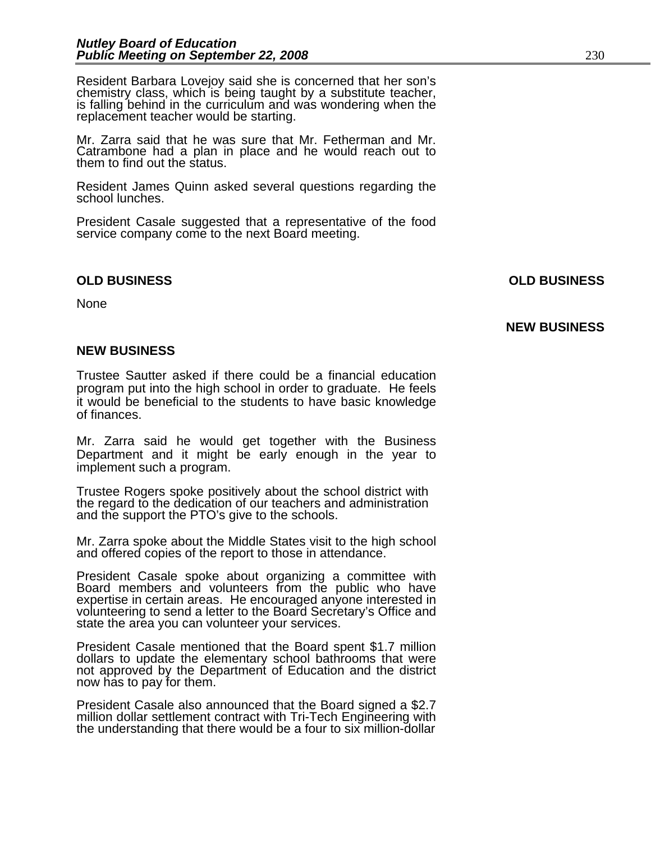Resident Barbara Lovejoy said she is concerned that her son's chemistry class, which is being taught by a substitute teacher, is falling behind in the curriculum and was wondering when the replacement teacher would be starting.

Mr. Zarra said that he was sure that Mr. Fetherman and Mr. Catrambone had a plan in place and he would reach out to them to find out the status.

Resident James Quinn asked several questions regarding the school lunches.

President Casale suggested that a representative of the food service company come to the next Board meeting.

#### **OLD BUSINESS OLD BUSINESS**

None

**NEW BUSINESS** 

#### **NEW BUSINESS**

Trustee Sautter asked if there could be a financial education program put into the high school in order to graduate. He feels it would be beneficial to the students to have basic knowledge of finances.

Mr. Zarra said he would get together with the Business Department and it might be early enough in the year to implement such a program.

Trustee Rogers spoke positively about the school district with the regard to the dedication of our teachers and administration and the support the PTO's give to the schools.

Mr. Zarra spoke about the Middle States visit to the high school and offered copies of the report to those in attendance.

President Casale spoke about organizing a committee with<br>Board members and volunteers from the public who have<br>expertise in certain areas. He encouraged anyone interested in<br>volunteering to send a letter to the Board Secre

President Casale mentioned that the Board spent \$1.7 million dollars to update the elementary school bathrooms that were not approved by the Department of Education and the district now has to pay for them.

President Casale also announced that the Board signed a \$2.7 the understanding that there would be a four to six million-dollar